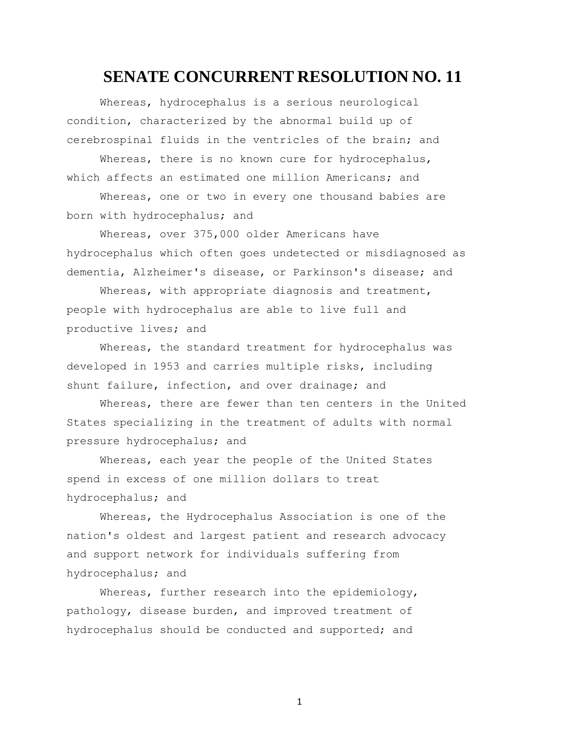## **SENATE CONCURRENT RESOLUTION NO. 11**

Whereas, hydrocephalus is a serious neurological condition, characterized by the abnormal build up of cerebrospinal fluids in the ventricles of the brain; and

Whereas, there is no known cure for hydrocephalus, which affects an estimated one million Americans; and

Whereas, one or two in every one thousand babies are born with hydrocephalus; and

Whereas, over 375,000 older Americans have hydrocephalus which often goes undetected or misdiagnosed as dementia, Alzheimer's disease, or Parkinson's disease; and

Whereas, with appropriate diagnosis and treatment, people with hydrocephalus are able to live full and productive lives; and

Whereas, the standard treatment for hydrocephalus was developed in 1953 and carries multiple risks, including shunt failure, infection, and over drainage; and

Whereas, there are fewer than ten centers in the United States specializing in the treatment of adults with normal pressure hydrocephalus; and

Whereas, each year the people of the United States spend in excess of one million dollars to treat hydrocephalus; and

Whereas, the Hydrocephalus Association is one of the nation's oldest and largest patient and research advocacy and support network for individuals suffering from hydrocephalus; and

Whereas, further research into the epidemiology, pathology, disease burden, and improved treatment of hydrocephalus should be conducted and supported; and

1